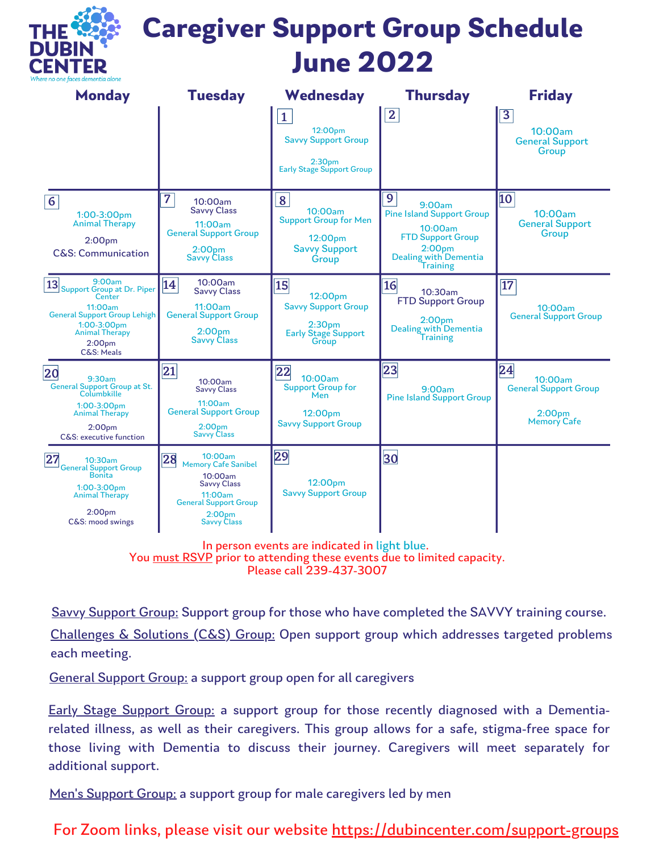

# **Caregiver Support Group Schedule June 2022**

| <b>Monday</b>                                                                                                                                                                      | <b>Tuesday</b>                                                                                                                                                      | Wednesday                                                                                                       | <b>Thursday</b>                                                                                                                                                       | <b>Friday</b>                                                                    |
|------------------------------------------------------------------------------------------------------------------------------------------------------------------------------------|---------------------------------------------------------------------------------------------------------------------------------------------------------------------|-----------------------------------------------------------------------------------------------------------------|-----------------------------------------------------------------------------------------------------------------------------------------------------------------------|----------------------------------------------------------------------------------|
|                                                                                                                                                                                    |                                                                                                                                                                     | $\mathbf{1}$<br>12:00pm<br><b>Savvy Support Group</b><br>2:30 <sub>pm</sub><br><b>Early Stage Support Group</b> | $\mathbf{2}$                                                                                                                                                          | $\overline{\mathbf{3}}$<br>10:00am<br><b>General Support</b><br>Group            |
| $\overline{6}$<br>1:00-3:00pm<br><b>Animal Therapy</b><br>2:00 <sub>pm</sub><br><b>C&amp;S: Communication</b>                                                                      | $\overline{7}$<br>10:00am<br><b>Savvy Class</b><br>11:00am<br><b>General Support Group</b><br>2:00 <sub>pm</sub><br><b>Savvy Class</b>                              | 8<br>10:00am<br><b>Support Group for Men</b><br>12:00pm<br><b>Savvy Support</b><br>Group                        | $\overline{9}$<br>9:00am<br><b>Pine Island Support Group</b><br>10:00am<br><b>FTD Support Group</b><br>2:00 <sub>pm</sub><br>Dealing with Dementia<br><b>Training</b> | 10<br>10:00am<br><b>General Support</b><br>Group                                 |
| 9:00am<br>13<br>Support Group at Dr. Piper<br>Center<br>11:00am<br><b>General Support Group Lehigh</b><br>1:00-3:00pm<br><b>Animal Therapy</b><br>2:00 <sub>pm</sub><br>C&S: Meals | 10:00am<br>14<br><b>Savvy Class</b><br>11:00am<br><b>General Support Group</b><br>2:00 <sub>pm</sub><br><b>Savvy Class</b>                                          | 15 <br>12:00pm<br><b>Savvy Support Group</b><br>2:30 <sub>pm</sub><br><b>Early Stage Support</b><br>Group       | 16<br>10:30am<br><b>FTD Support Group</b><br>2:00 <sub>pm</sub><br>Dealing with Dementia<br>Training                                                                  | $\overline{17}$<br>10:00am<br><b>General Support Group</b>                       |
| 20<br>9:30am<br><b>General Support Group at St.</b><br>Columbkille<br>$1:00-3:00$ pm<br><b>Animal Therapy</b><br>2:00 <sub>pm</sub><br>C&S: executive function                     | 21 <br>10:00am<br><b>Savvy Class</b><br>11:00am<br><b>General Support Group</b><br>2:00 <sub>pm</sub><br><b>Savvy Class</b>                                         | 22<br>10:00am<br><b>Support Group for</b><br>Men<br>12:00pm<br><b>Savvy Support Group</b>                       | 23<br>9:00am<br><b>Pine Island Support Group</b>                                                                                                                      | 24<br>10:00am<br><b>General Support Group</b><br>$2:00$ pm<br><b>Memory Cafe</b> |
| 27<br>10:30am<br>General Support Group<br>Bonita<br>$1:00-3:00$ pm<br><b>Animal Therapy</b><br>2:00 <sub>pm</sub><br>C&S: mood swings                                              | 10:00am<br>28<br><b>Memory Cafe Sanibel</b><br>10:00am<br><b>Savvy Class</b><br>11:00am<br><b>General Support Group</b><br>2:00 <sub>pm</sub><br><b>Savvy Class</b> | 29<br>12:00pm<br><b>Savvy Support Group</b>                                                                     | 30                                                                                                                                                                    |                                                                                  |

In person events are indicated in light blue.

You must RSVP prior to attending these events due to limited capacity.

Please call 239-437-3007

Savvy Support Group: Support group for those who have completed the SAVVY training course.

Challenges & Solutions (C&S) Group: Open support group which addresses targeted problems each meeting.

General Support Group: a support group open for all caregivers

Early Stage Support Group: a support group for those recently diagnosed with a Dementiarelated illness, as well as their caregivers. This group allows for a safe, stigma-free space for those living with Dementia to discuss their journey. Caregivers will meet separately for additional support.

Men's Support Group: a support group for male caregivers led by men

For Zoom links, please visit our website <https://dubincenter.com/support-groups>